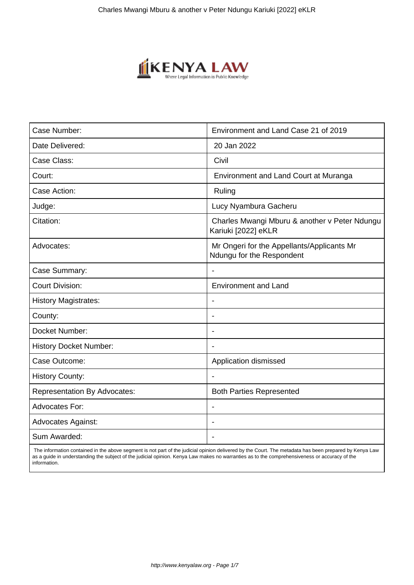

| Case Number:                        | Environment and Land Case 21 of 2019                                    |
|-------------------------------------|-------------------------------------------------------------------------|
| Date Delivered:                     | 20 Jan 2022                                                             |
| Case Class:                         | Civil                                                                   |
| Court:                              | Environment and Land Court at Muranga                                   |
| Case Action:                        | Ruling                                                                  |
| Judge:                              | Lucy Nyambura Gacheru                                                   |
| Citation:                           | Charles Mwangi Mburu & another v Peter Ndungu<br>Kariuki [2022] eKLR    |
| Advocates:                          | Mr Ongeri for the Appellants/Applicants Mr<br>Ndungu for the Respondent |
| Case Summary:                       | $\overline{\phantom{a}}$                                                |
| <b>Court Division:</b>              | <b>Environment and Land</b>                                             |
| <b>History Magistrates:</b>         |                                                                         |
| County:                             |                                                                         |
| Docket Number:                      | $\overline{\phantom{a}}$                                                |
| <b>History Docket Number:</b>       |                                                                         |
| Case Outcome:                       | Application dismissed                                                   |
| <b>History County:</b>              |                                                                         |
| <b>Representation By Advocates:</b> | <b>Both Parties Represented</b>                                         |
| <b>Advocates For:</b>               | $\blacksquare$                                                          |
| <b>Advocates Against:</b>           |                                                                         |
| Sum Awarded:                        | $\overline{\phantom{0}}$                                                |

 The information contained in the above segment is not part of the judicial opinion delivered by the Court. The metadata has been prepared by Kenya Law as a guide in understanding the subject of the judicial opinion. Kenya Law makes no warranties as to the comprehensiveness or accuracy of the information.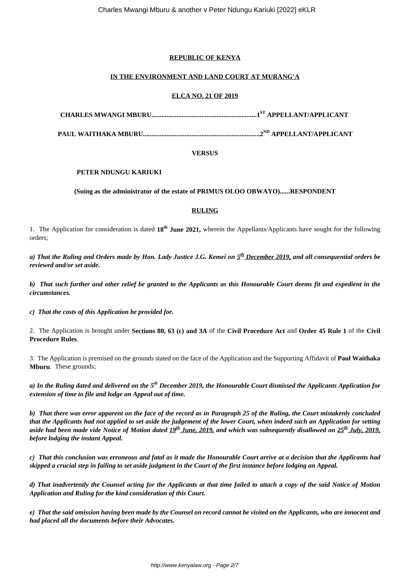# **REPUBLIC OF KENYA**

# **IN THE ENVIRONMENT AND LAND COURT AT MURANG'A**

# **ELCA NO. 21 OF 2019**

**CHARLES MWANGI MBURU...............................................................1ST APPELLANT/APPLICANT** 

**PAUL WAITHAKA MBURU......................................................................2ND APPELLANT/APPLICANT**

### **VERSUS**

#### **PETER NDUNGU KARIUKI**

### **(Suing as the administrator of the estate of PRIMUS OLOO OBWAYO)......RESPONDENT**

### **RULING**

1. The Application for consideration is dated **18th June 2021,** wherein the Appellants/Applicants have sought for the following orders;

*a) That the Ruling and Orders made by Hon. Lady Justice J.G. Kemei on 5 th December 2019, and all consequential orders be reviewed and/or set aside.*

*b) That such further and other relief be granted to the Applicants as this Honourable Court deems fit and expedient in the circumstances.*

*c) That the costs of this Application be provided for.*

2. The Application is brought under **Sections 80, 63 (c) and 3A** of the **Civil Procedure Act** and **Order 45 Rule 1** of the **Civil Procedure Rules**.

3. The Application is premised on the grounds stated on the face of the Application and the Supporting Affidavit of **Paul Waithaka Mburu**. These grounds;

*a) In the Ruling dated and delivered on the 5th December 2019, the Honourable Court dismissed the Applicants Application for extension of time to file and lodge an Appeal out of time.*

*b) That there was error apparent on the face of the record as in Paragraph 25 of the Ruling, the Court mistakenly concluded that the Applicants had not applied to set aside the judgement of the lower Court, when indeed such an Application for setting aside had been made vide Notice of Motion dated 19th June, 2019, and which was subsequently disallowed on 25th July, 2019, before lodging the instant Appeal.* 

*c) That this conclusion was erroneous and fatal as it made the Honourable Court arrive at a decision that the Applicants had skipped a crucial step in failing to set aside judgment in the Court of the first instance before lodging an Appeal.*

*d) That inadvertently the Counsel acting for the Applicants at that time failed to attach a copy of the said Notice of Motion Application and Ruling for the kind consideration of this Court.*

*e) That the said omission having been made by the Counsel on record cannot be visited on the Applicants, who are innocent and had placed all the documents before their Advocates.*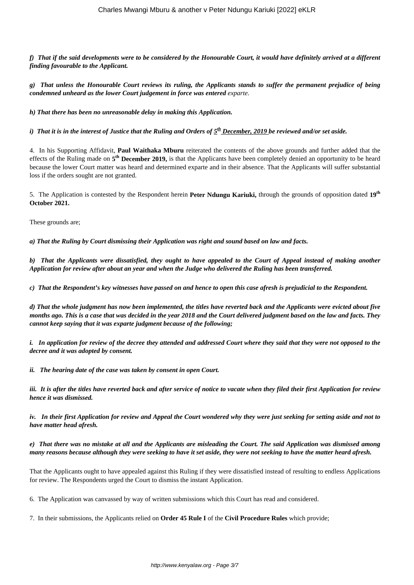*f) That if the said developments were to be considered by the Honourable Court, it would have definitely arrived at a different finding favourable to the Applicant.*

*g) That unless the Honourable Court reviews its ruling, the Applicants stands to suffer the permanent prejudice of being condemned unheard as the lower Court judgement in force was entered exparte.* 

*h) That there has been no unreasonable delay in making this Application.*

*i) That it is in the interest of Justice that the Ruling and Orders of 5 th December, 2019 be reviewed and/or set aside.*

4. In his Supporting Affidavit, **Paul Waithaka Mburu** reiterated the contents of the above grounds and further added that the effects of the Ruling made on **5 th December 2019,** is that the Applicants have been completely denied an opportunity to be heard because the lower Court matter was heard and determined exparte and in their absence. That the Applicants will suffer substantial loss if the orders sought are not granted.

5. The Application is contested by the Respondent herein **Peter Ndungu Kariuki,** through the grounds of opposition dated **19th October 2021.**

These grounds are;

*a) That the Ruling by Court dismissing their Application was right and sound based on law and facts.*

*b) That the Applicants were dissatisfied, they ought to have appealed to the Court of Appeal instead of making another Application for review after about an year and when the Judge who delivered the Ruling has been transferred.* 

*c) That the Respondent's key witnesses have passed on and hence to open this case afresh is prejudicial to the Respondent.*

*d) That the whole judgment has now been implemented, the titles have reverted back and the Applicants were evicted about five months ago. This is a case that was decided in the year 2018 and the Court delivered judgment based on the law and facts. They cannot keep saying that it was exparte judgment because of the following;*

*i. In application for review of the decree they attended and addressed Court where they said that they were not opposed to the decree and it was adopted by consent.* 

*ii. The hearing date of the case was taken by consent in open Court.*

*iii. It is after the titles have reverted back and after service of notice to vacate when they filed their first Application for review hence it was dismissed.*

*iv. In their first Application for review and Appeal the Court wondered why they were just seeking for setting aside and not to have matter head afresh.*

*e) That there was no mistake at all and the Applicants are misleading the Court. The said Application was dismissed among many reasons because although they were seeking to have it set aside, they were not seeking to have the matter heard afresh.* 

That the Applicants ought to have appealed against this Ruling if they were dissatisfied instead of resulting to endless Applications for review. The Respondents urged the Court to dismiss the instant Application.

6. The Application was canvassed by way of written submissions which this Court has read and considered.

7. In their submissions, the Applicants relied on **Order 45 Rule I** of the **Civil Procedure Rules** which provide;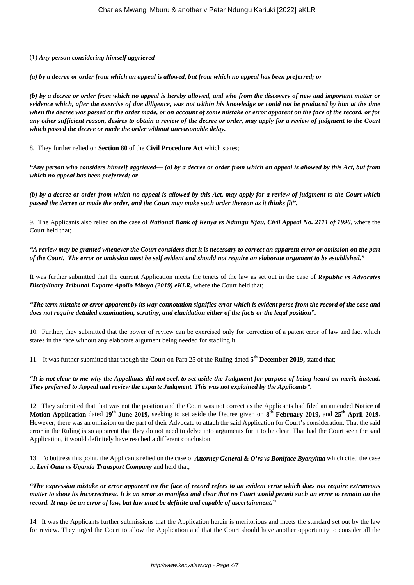(1) *Any person considering himself aggrieved—*

*(a) by a decree or order from which an appeal is allowed, but from which no appeal has been preferred; or*

*(b) by a decree or order from which no appeal is hereby allowed, and who from the discovery of new and important matter or evidence which, after the exercise of due diligence, was not within his knowledge or could not be produced by him at the time when the decree was passed or the order made, or on account of some mistake or error apparent on the face of the record, or for any other sufficient reason, desires to obtain a review of the decree or order, may apply for a review of judgment to the Court which passed the decree or made the order without unreasonable delay.*

8. They further relied on **Section 80** of the **Civil Procedure Act** which states;

*"Any person who considers himself aggrieved— (a) by a decree or order from which an appeal is allowed by this Act, but from which no appeal has been preferred; or* 

*(b) by a decree or order from which no appeal is allowed by this Act, may apply for a review of judgment to the Court which passed the decree or made the order, and the Court may make such order thereon as it thinks fit".*

9. The Applicants also relied on the case of *National Bank of Kenya vs Ndungu Njau, Civil Appeal No. 2111 of 1996*, where the Court held that;

*"A review may be granted whenever the Court considers that it is necessary to correct an apparent error or omission on the part of the Court. The error or omission must be self evident and should not require an elaborate argument to be established."*

It was further submitted that the current Application meets the tenets of the law as set out in the case of *Republic vs Advocates Disciplinary Tribunal Exparte Apollo Mboya (2019) eKLR,* where the Court held that;

### *"The term mistake or error apparent by its way connotation signifies error which is evident perse from the record of the case and does not require detailed examination, scrutiny, and elucidation either of the facts or the legal position".*

10. Further, they submitted that the power of review can be exercised only for correction of a patent error of law and fact which stares in the face without any elaborate argument being needed for stabling it.

11. It was further submitted that though the Court on Para 25 of the Ruling dated **5 th December 2019,** stated that;

### *"It is not clear to me why the Appellants did not seek to set aside the Judgment for purpose of being heard on merit, instead. They preferred to Appeal and review the exparte Judgment. This was not explained by the Applicants".*

12. They submitted that that was not the position and the Court was not correct as the Applicants had filed an amended **Notice of Motion Application** dated **19th June 2019,** seeking to set aside the Decree given on **8 th February 2019,** and **25th April 2019**. However, there was an omission on the part of their Advocate to attach the said Application for Court's consideration. That the said error in the Ruling is so apparent that they do not need to delve into arguments for it to be clear. That had the Court seen the said Application, it would definitely have reached a different conclusion.

13. To buttress this point, the Applicants relied on the case of *Attorney General & O'rs vs Boniface Byanyima* which cited the case of *Levi Outa vs Uganda Transport Company* and held that;

*"The expression mistake or error apparent on the face of record refers to an evident error which does not require extraneous matter to show its incorrectness. It is an error so manifest and clear that no Court would permit such an error to remain on the record. It may be an error of law, but law must be definite and capable of ascertainment."*

14. It was the Applicants further submissions that the Application herein is meritorious and meets the standard set out by the law for review. They urged the Court to allow the Application and that the Court should have another opportunity to consider all the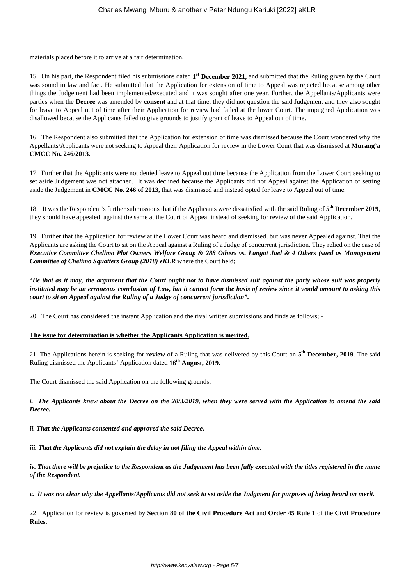materials placed before it to arrive at a fair determination.

15. On his part, the Respondent filed his submissions dated **1 st December 2021,** and submitted that the Ruling given by the Court was sound in law and fact. He submitted that the Application for extension of time to Appeal was rejected because among other things the Judgement had been implemented/executed and it was sought after one year. Further, the Appellants/Applicants were parties when the **Decree** was amended by **consent** and at that time, they did not question the said Judgement and they also sought for leave to Appeal out of time after their Application for review had failed at the lower Court. The impugned Application was disallowed because the Applicants failed to give grounds to justify grant of leave to Appeal out of time.

16. The Respondent also submitted that the Application for extension of time was dismissed because the Court wondered why the Appellants/Applicants were not seeking to Appeal their Application for review in the Lower Court that was dismissed at **Murang'a CMCC No. 246/2013.**

17. Further that the Applicants were not denied leave to Appeal out time because the Application from the Lower Court seeking to set aside Judgement was not attached. It was declined because the Applicants did not Appeal against the Application of setting aside the Judgement in **CMCC No. 246 of 2013,** that was dismissed and instead opted for leave to Appeal out of time.

18. It was the Respondent's further submissions that if the Applicants were dissatisfied with the said Ruling of **5 th December 2019**, they should have appealed against the same at the Court of Appeal instead of seeking for review of the said Application.

19. Further that the Application for review at the Lower Court was heard and dismissed, but was never Appealed against. That the Applicants are asking the Court to sit on the Appeal against a Ruling of a Judge of concurrent jurisdiction. They relied on the case of *Executive Committee Chelimo Plot Owners Welfare Group & 288 Others vs. Langat Joel & 4 Others (sued as Management Committee of Chelimo Squatters Group (2018) eKLR* where the Court held;

"*Be that as it may, the argument that the Court ought not to have dismissed suit against the party whose suit was properly instituted may be an erroneous conclusion of Law, but it cannot form the basis of review since it would amount to asking this court to sit on Appeal against the Ruling of a Judge of concurrent jurisdiction".*

20. The Court has considered the instant Application and the rival written submissions and finds as follows; -

## **The issue for determination is whether the Applicants Application is merited.**

21. The Applications herein is seeking for **review** of a Ruling that was delivered by this Court on **5 th December, 2019**. The said Ruling dismissed the Applicants' Application dated **16th August, 2019.**

The Court dismissed the said Application on the following grounds;

*i. The Applicants knew about the Decree on the 20/3/2019, when they were served with the Application to amend the said Decree.*

*ii. That the Applicants consented and approved the said Decree.*

*iii. That the Applicants did not explain the delay in not filing the Appeal within time.*

*iv. That there will be prejudice to the Respondent as the Judgement has been fully executed with the titles registered in the name of the Respondent.*

*v. It was not clear why the Appellants/Applicants did not seek to set aside the Judgment for purposes of being heard on merit.*

22. Application for review is governed by **Section 80 of the Civil Procedure Act** and **Order 45 Rule 1** of the **Civil Procedure Rules.**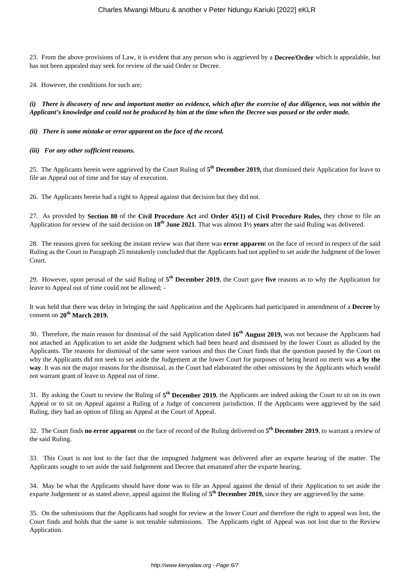23. From the above provisions of Law, it is evident that any person who is aggrieved by a **Decree/Order** which is appealable, but has not been appealed may seek for review of the said Order or Decree.

24. However, the conditions for such are;

*(i) There is discovery of new and important matter on evidence, which after the exercise of due diligence, was not within the Applicant's knowledge and could not be produced by him at the time when the Decree was passed or the order made.*

#### *(ii) There is some mistake or error apparent on the face of the record.*

#### *(iii) For any other sufficient reasons.*

25. The Applicants herein were aggrieved by the Court Ruling of  $5<sup>th</sup>$  December 2019, that dismissed their Application for leave to file an Appeal out of time and for stay of execution.

26. The Applicants herein had a right to Appeal against that decision but they did not.

27. As provided by **Section 80** of the **Civil Procedure Act** and **Order 45(1) of Civil Procedure Rules,** they chose to file an Application for review of the said decision on **18th June 2021**. That was almost **1½ years** after the said Ruling was delivered.

28. The reasons given for seeking the instant review was that there was **error apparen**t on the face of record in respect of the said Ruling as the Court in Paragraph 25 mistakenly concluded that the Applicants had not applied to set aside the Judgment of the lower Court.

29. However, upon perusal of the said Ruling of **5 th December 2019**, the Court gave **five** reasons as to why the Application for leave to Appeal out of time could not be allowed; -

It was held that there was delay in bringing the said Application and the Applicants had participated in amendment of a **Decree** by consent on **20th March 2019.**

30. Therefore, the main reason for dismissal of the said Application dated **16th August 2019,** was not because the Applicants had not attached an Application to set aside the Judgment which had been heard and dismissed by the lower Court as alluded by the Applicants. The reasons for dismissal of the same were various and thus the Court finds that the question paused by the Court on why the Applicants did not seek to set aside the Judgement at the lower Court for purposes of being heard on merit was **a by the way**. It was not the major reasons for the dismissal, as the Court had elaborated the other omissions by the Applicants which would not warrant grant of leave to Appeal out of time.

31. By asking the Court to review the Ruling of **5 th December 2019**, the Applicants are indeed asking the Court to sit on its own Appeal or to sit on Appeal against a Ruling of a Judge of concurrent jurisdiction. If the Applicants were aggrieved by the said Ruling, they had an option of filing an Appeal at the Court of Appeal.

32. The Court finds **no error apparent** on the face of record of the Ruling delivered on **5 th December 2019**, to warrant a review of the said Ruling.

33. This Court is not lost to the fact that the impugned Judgment was delivered after an exparte hearing of the matter. The Applicants sought to set aside the said Judgement and Decree that emanated after the exparte hearing.

34. May be what the Applicants should have done was to file an Appeal against the denial of their Application to set aside the exparte Judgement or as stated above, appeal against the Ruling of **5 th December 2019,** since they are aggrieved by the same.

35. On the submissions that the Applicants had sought for review at the lower Court and therefore the right to appeal was lost, the Court finds and holds that the same is not tenable submissions. The Applicants right of Appeal was not lost due to the Review Application.